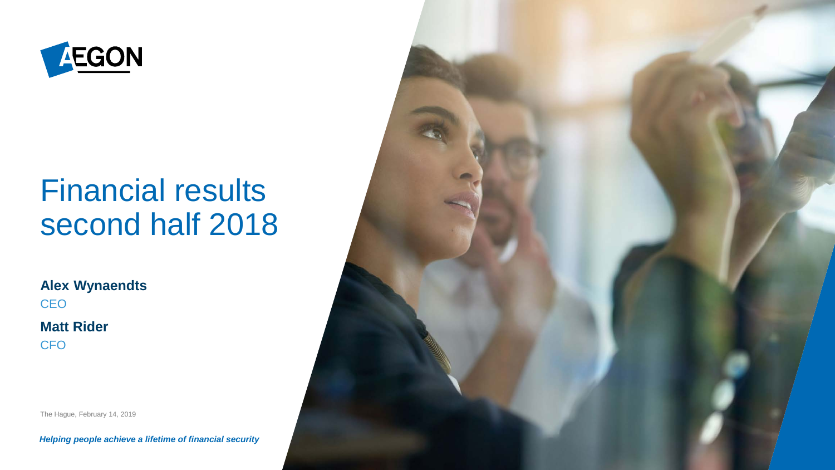

# Financial results second half 2018

**Alex Wynaendts CEO** 

**Matt Rider CFO** 

The Hague, February 14, 2019

*Helping people achieve a lifetime of financial security*

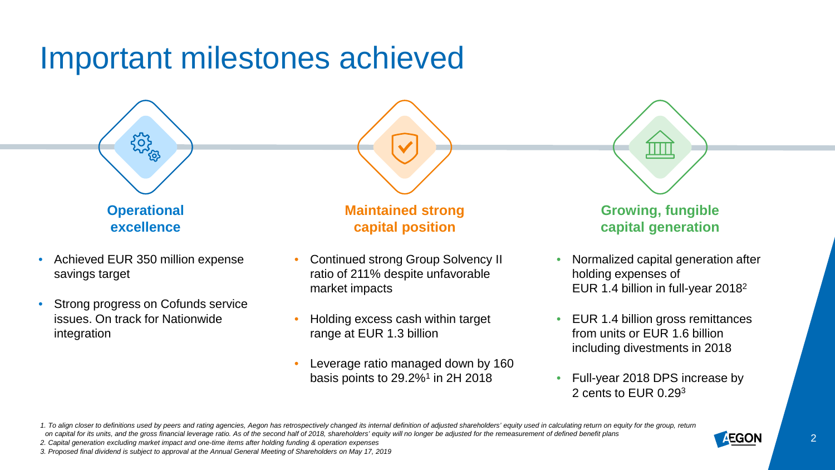## Important milestones achieved



**Operational excellence**

- Achieved EUR 350 million expense savings target
- Strong progress on Cofunds service issues. On track for Nationwide integration

**Maintained strong capital position**

- Continued strong Group Solvency II ratio of 211% despite unfavorable market impacts
- Holding excess cash within target range at EUR 1.3 billion
- Leverage ratio managed down by 160 basis points to 29.2%1 in 2H 2018

**Growing, fungible capital generation**

- Normalized capital generation after holding expenses of EUR 1.4 billion in full-year 20182
- EUR 1.4 billion gross remittances from units or EUR 1.6 billion including divestments in 2018
- Full-year 2018 DPS increase by 2 cents to EUR 0.293

1. To align closer to definitions used by peers and rating agencies, Aegon has retrospectively changed its internal definition of adjusted shareholders' equity used in calculating return on equity for the group, return *on capital for its units, and the gross financial leverage ratio. As of the second half of 2018, shareholders' equity will no longer be adjusted for the remeasurement of defined benefit plans*

*2. Capital generation excluding market impact and one-time items after holding funding & operation expenses*



*<sup>3.</sup> Proposed final dividend is subject to approval at the Annual General Meeting of Shareholders on May 17, 2019*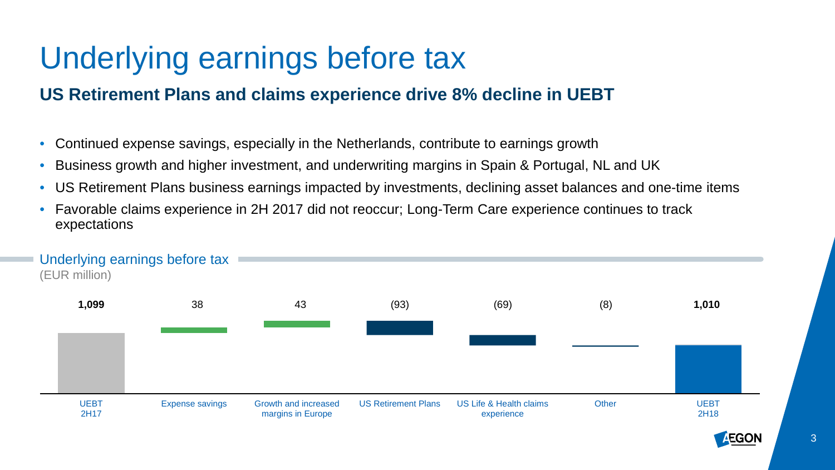# Underlying earnings before tax

### **US Retirement Plans and claims experience drive 8% decline in UEBT**

- Continued expense savings, especially in the Netherlands, contribute to earnings growth
- Business growth and higher investment, and underwriting margins in Spain & Portugal, NL and UK
- US Retirement Plans business earnings impacted by investments, declining asset balances and one-time items
- Favorable claims experience in 2H 2017 did not reoccur; Long-Term Care experience continues to track expectations



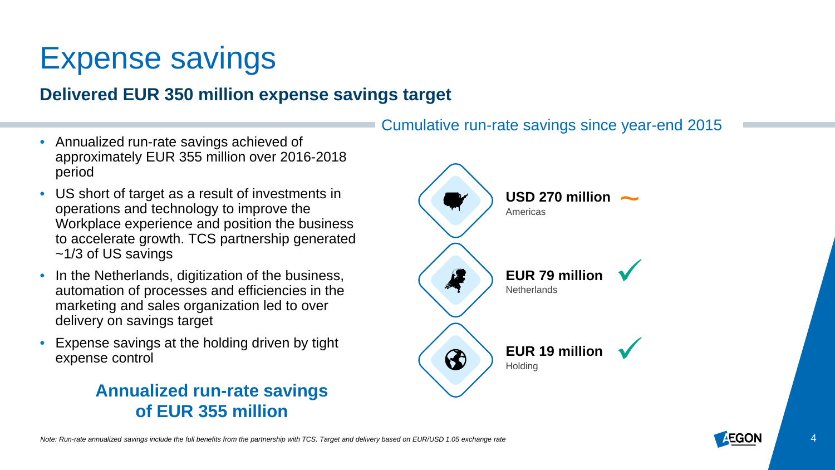# Expense savings

### **Delivered EUR 350 million expense savings target**

- Annualized run-rate savings achieved of approximately EUR 355 million over 2016-2018 period
- US short of target as a result of investments in operations and technology to improve the Workplace experience and position the business to accelerate growth. TCS partnership generated ~1/3 of US savings
- In the Netherlands, digitization of the business, automation of processes and efficiencies in the marketing and sales organization led to over delivery on savings target
- Expense savings at the holding driven by tight expense control

### **Annualized run-rate savings of EUR 355 million**

Cumulative run-rate savings since year-end 2015



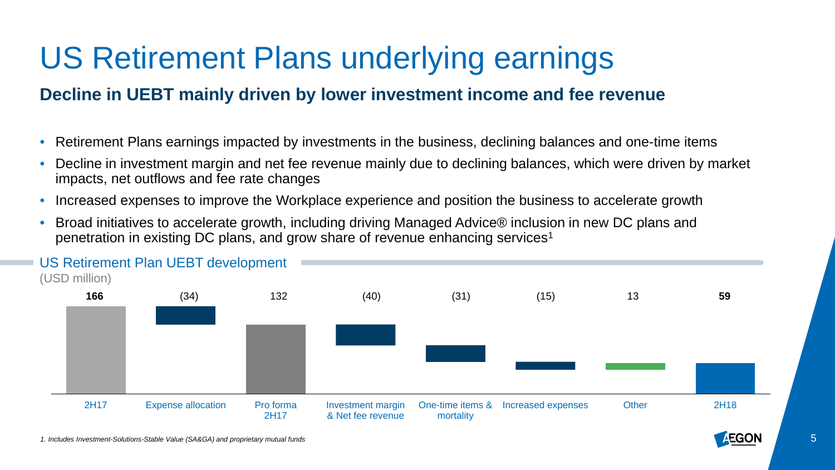# US Retirement Plans underlying earnings

### **Decline in UEBT mainly driven by lower investment income and fee revenue**

- Retirement Plans earnings impacted by investments in the business, declining balances and one-time items
- Decline in investment margin and net fee revenue mainly due to declining balances, which were driven by market impacts, net outflows and fee rate changes
- Increased expenses to improve the Workplace experience and position the business to accelerate growth
- Broad initiatives to accelerate growth, including driving Managed Advice® inclusion in new DC plans and penetration in existing DC plans, and grow share of revenue enhancing services<sup>1</sup>



*1. Includes Investment-Solutions-Stable Value (SA&GA) and proprietary mutual funds*

**AEGON**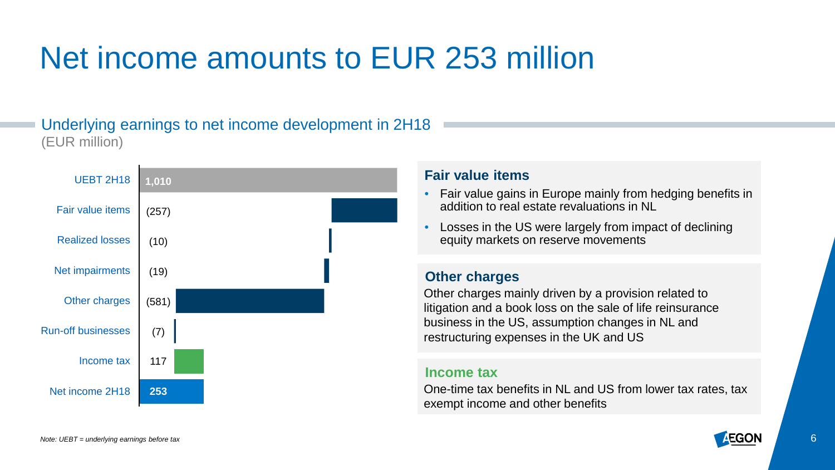# Net income amounts to EUR 253 million

#### Underlying earnings to net income development in 2H18 (EUR million)



#### **Fair value items**

- Fair value gains in Europe mainly from hedging benefits in addition to real estate revaluations in NL
- Losses in the US were largely from impact of declining equity markets on reserve movements

#### **Other charges**

Other charges mainly driven by a provision related to litigation and a book loss on the sale of life reinsurance business in the US, assumption changes in NL and restructuring expenses in the UK and US

#### **Income tax**

One-time tax benefits in NL and US from lower tax rates, tax exempt income and other benefits

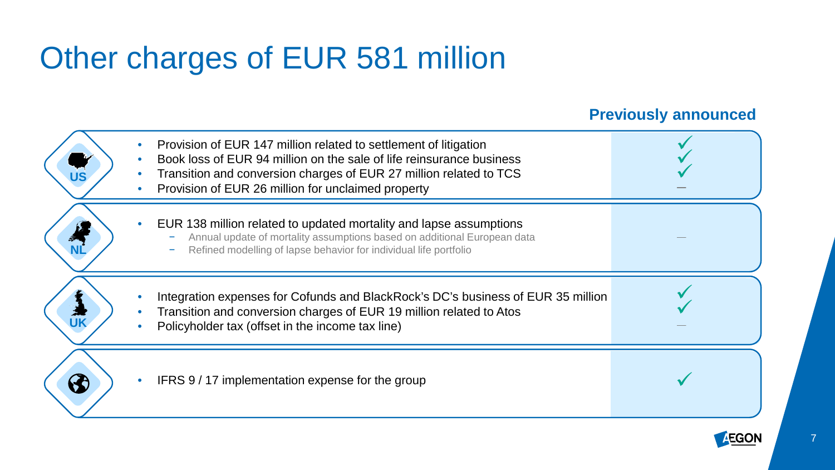# Other charges of EUR 581 million

#### **Previously announced**



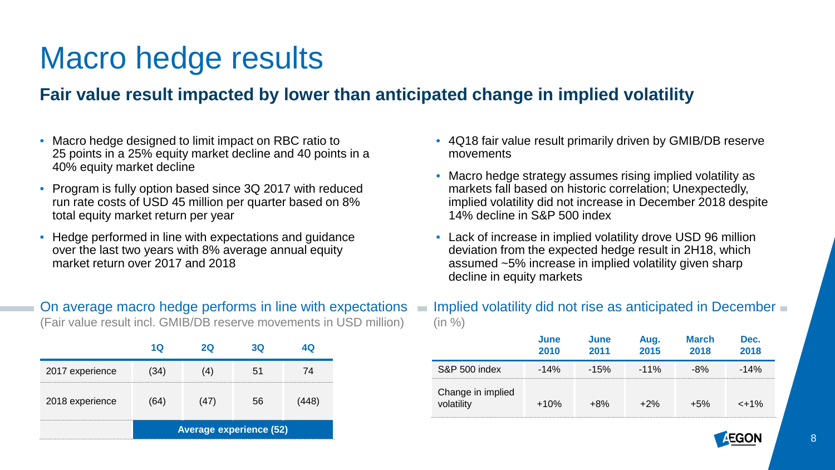## Macro hedge results

### **Fair value result impacted by lower than anticipated change in implied volatility**

- Macro hedge designed to limit impact on RBC ratio to 25 points in a 25% equity market decline and 40 points in a 40% equity market decline
- Program is fully option based since 3Q 2017 with reduced run rate costs of USD 45 million per quarter based on 8% total equity market return per year
- Hedge performed in line with expectations and guidance over the last two years with 8% average annual equity market return over 2017 and 2018
- 4Q18 fair value result primarily driven by GMIB/DB reserve movements
- Macro hedge strategy assumes rising implied volatility as markets fall based on historic correlation; Unexpectedly, implied volatility did not increase in December 2018 despite 14% decline in S&P 500 index
- Lack of increase in implied volatility drove USD 96 million deviation from the expected hedge result in 2H18, which assumed ~5% increase in implied volatility given sharp decline in equity markets

#### On average macro hedge performs in line with expectations (Fair value result incl. GMIB/DB reserve movements in USD million)

| 2017 experience |                                |  |    | 74 |
|-----------------|--------------------------------|--|----|----|
| 2018 experience | 64                             |  | 56 |    |
|                 | <b>Average experience (52)</b> |  |    |    |

#### Implied volatility did not rise as anticipated in December  $\blacksquare$  $(in %)$

|                                 | June<br>2010 | June<br>2011 | Aug.<br>2015 | <b>March</b><br>2018 | Dec.<br>2018 |
|---------------------------------|--------------|--------------|--------------|----------------------|--------------|
| <b>S&amp;P 500 index</b>        | $-14\%$      | $-15%$       | $-11%$       | -8%                  | $-14%$       |
| Change in implied<br>volatility | $+10%$       | +8%          | $+2%$        | $+5%$                | $< +1\%$     |

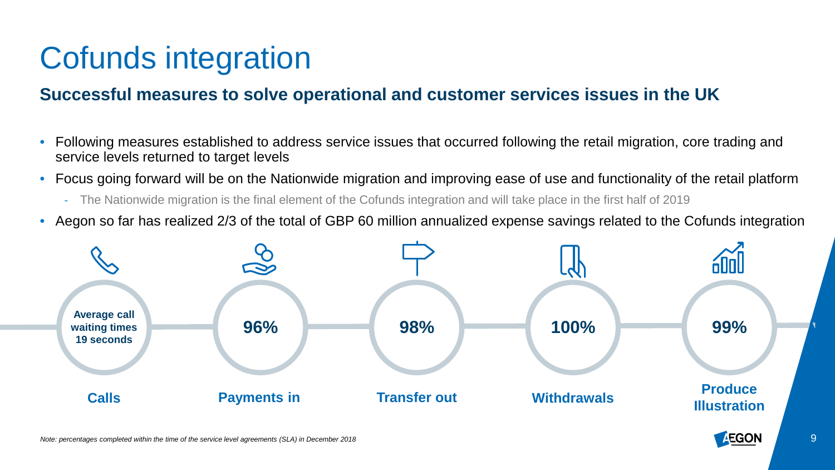# Cofunds integration

### **Successful measures to solve operational and customer services issues in the UK**

- Following measures established to address service issues that occurred following the retail migration, core trading and service levels returned to target levels
- Focus going forward will be on the Nationwide migration and improving ease of use and functionality of the retail platform
	- The Nationwide migration is the final element of the Cofunds integration and will take place in the first half of 2019
- Aegon so far has realized 2/3 of the total of GBP 60 million annualized expense savings related to the Cofunds integration



9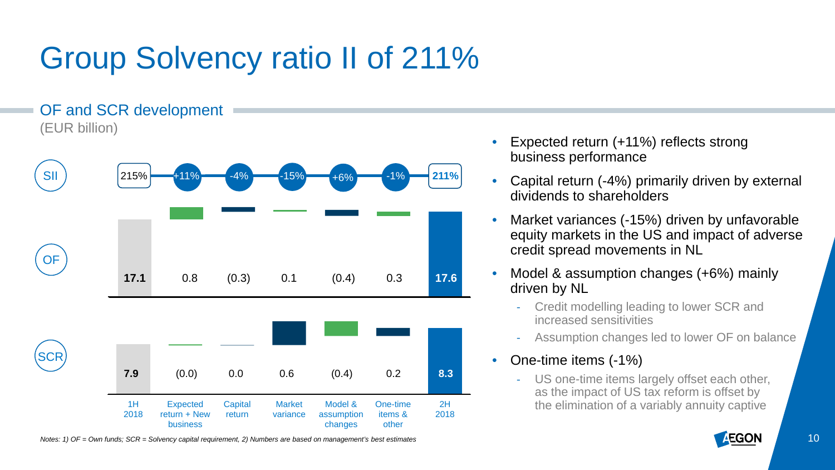# Group Solvency ratio II of 211%

OF and SCR development (EUR billion)



*Notes: 1) OF = Own funds; SCR = Solvency capital requirement, 2) Numbers are based on management's best estimates*

- Expected return (+11%) reflects strong business performance
- Capital return (-4%) primarily driven by external dividends to shareholders
- Market variances (-15%) driven by unfavorable equity markets in the US and impact of adverse credit spread movements in NL
- Model & assumption changes (+6%) mainly driven by NL
	- Credit modelling leading to lower SCR and increased sensitivities
	- Assumption changes led to lower OF on balance

#### • One-time items (-1%)

- US one-time items largely offset each other, as the impact of US tax reform is offset by the elimination of a variably annuity captive

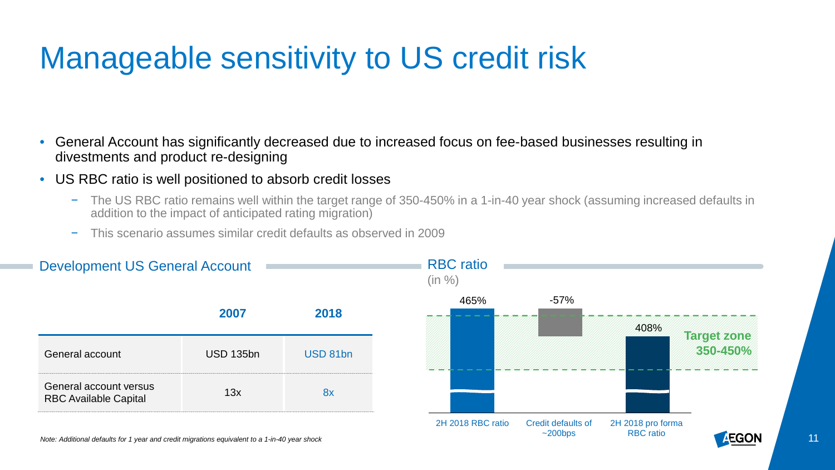# Manageable sensitivity to US credit risk

- General Account has significantly decreased due to increased focus on fee-based businesses resulting in divestments and product re-designing
- US RBC ratio is well positioned to absorb credit losses
	- − The US RBC ratio remains well within the target range of 350-450% in a 1-in-40 year shock (assuming increased defaults in addition to the impact of anticipated rating migration)
	- − This scenario assumes similar credit defaults as observed in 2009



*Note: Additional defaults for 1 year and credit migrations equivalent to a 1-in-40 year shock*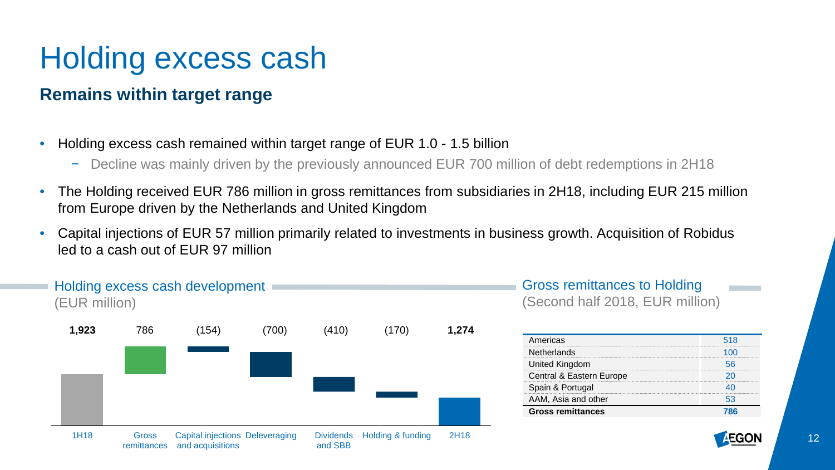# Holding excess cash

### **Remains within target range**

- Holding excess cash remained within target range of EUR 1.0 1.5 billion
	- Decline was mainly driven by the previously announced EUR 700 million of debt redemptions in 2H18
- The Holding received EUR 786 million in gross remittances from subsidiaries in 2H18, including EUR 215 million from Europe driven by the Netherlands and United Kingdom
- Capital injections of EUR 57 million primarily related to investments in business growth. Acquisition of Robidus led to a cash out of EUR 97 million



Gross remittances to Holding (Second half 2018, EUR million)

| Americas                 | 518 |
|--------------------------|-----|
| Netherlands              | 100 |
| United Kingdom           | 56  |
| Central & Eastern Europe | 20  |
| Spain & Portugal         |     |
| AAM, Asia and other      | 53  |
| <b>Gross remittances</b> | 786 |
|                          |     |

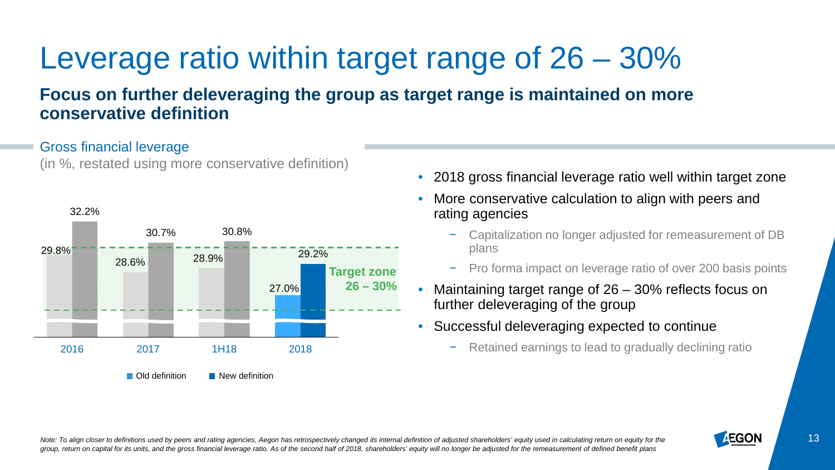# Leverage ratio within target range of 26 – 30%

### **Focus on further deleveraging the group as target range is maintained on more conservative definition**

#### Gross financial leverage

(in %, restated using more conservative definition)



- 2018 gross financial leverage ratio well within target zone
- More conservative calculation to align with peers and rating agencies
	- − Capitalization no longer adjusted for remeasurement of DB plans
	- − Pro forma impact on leverage ratio of over 200 basis points
- Maintaining target range of 26 30% reflects focus on further deleveraging of the group
- Successful deleveraging expected to continue
	- Retained earnings to lead to gradually declining ratio

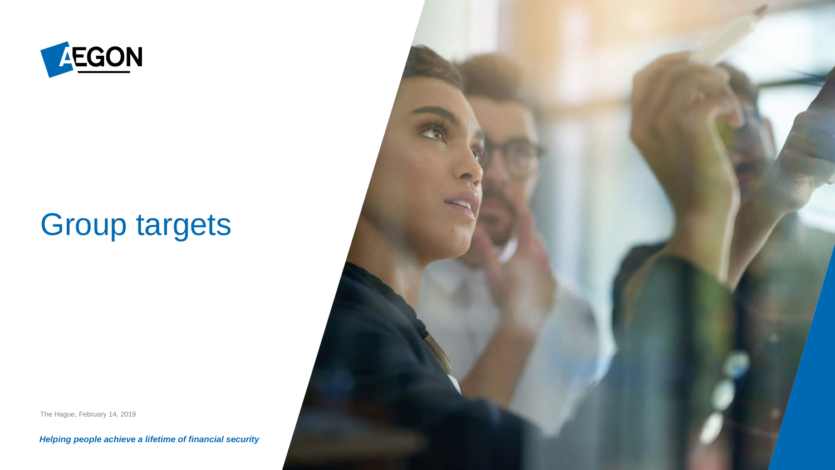

# Group targets

The Hague, February 14, 2019

*Helping people achieve a lifetime of financial security*

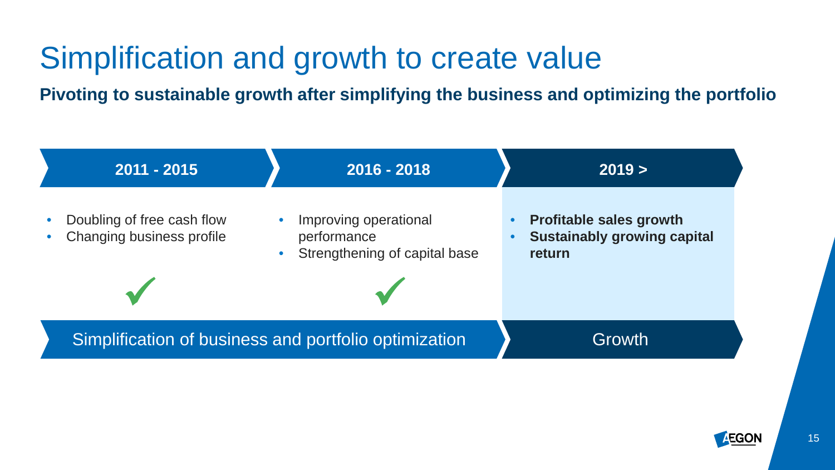# Simplification and growth to create value

**Pivoting to sustainable growth after simplifying the business and optimizing the portfolio**

| 2011 - 2015                                             | 2016 - 2018                                                                                     | 2019 >                                                                                                   |
|---------------------------------------------------------|-------------------------------------------------------------------------------------------------|----------------------------------------------------------------------------------------------------------|
| Doubling of free cash flow<br>Changing business profile | Improving operational<br>$\bullet$<br>performance<br>Strengthening of capital base<br>$\bullet$ | <b>Profitable sales growth</b><br>$\bullet$<br><b>Sustainably growing capital</b><br>$\bullet$<br>return |
| Simplification of business and portfolio optimization   | Growth                                                                                          |                                                                                                          |

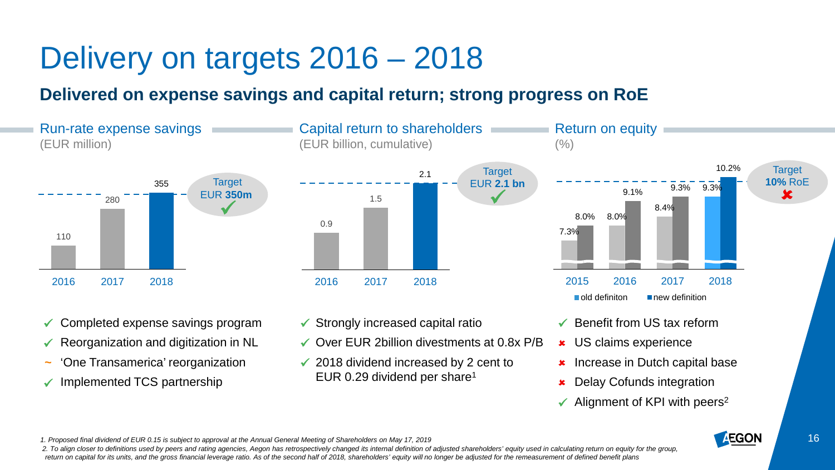# Delivery on targets 2016 – 2018

### **Delivered on expense savings and capital return; strong progress on RoE**



- Completed expense savings program  $\checkmark$
- Reorganization and digitization in NL  $\checkmark$
- 'One Transamerica' reorganization **~**
- $\checkmark$  Implemented TCS partnership
- $\checkmark$  Strongly increased capital ratio
- Over EUR 2billion divestments at 0.8x P/B
- $\checkmark$  2018 dividend increased by 2 cent to EUR 0.29 dividend per share<sup>1</sup>
- Benefit from US tax reform  $\checkmark$
- US claims experience
- Increase in Dutch capital base ×
- × Delay Cofunds integration
- $\checkmark$  Alignment of KPI with peers<sup>2</sup>



*2. To align closer to definitions used by peers and rating agencies, Aegon has retrospectively changed its internal definition of adjusted shareholders' equity used in calculating return on equity for the group, return on capital for its units, and the gross financial leverage ratio. As of the second half of 2018, shareholders' equity will no longer be adjusted for the remeasurement of defined benefit plans*

*<sup>1.</sup> Proposed final dividend of EUR 0.15 is subject to approval at the Annual General Meeting of Shareholders on May 17, 2019*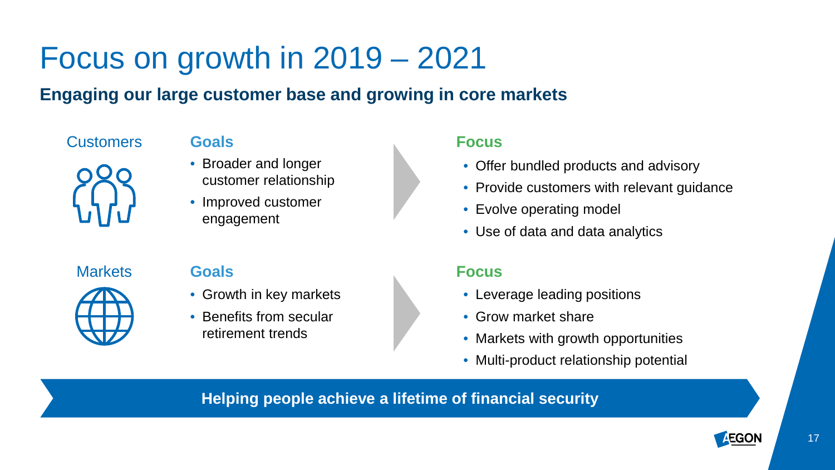# Focus on growth in 2019 – 2021

**Engaging our large customer base and growing in core markets**

#### Customers **Goals Focus**



- Broader and longer customer relationship
- Improved customer engagement

#### Markets **Goals Focus**



- Growth in key markets
- Benefits from secular retirement trends

- Offer bundled products and advisory
- Provide customers with relevant guidance
- Evolve operating model
- Use of data and data analytics

- Leverage leading positions
- Grow market share
- Markets with growth opportunities
- Multi-product relationship potential

#### **Helping people achieve a lifetime of financial security**

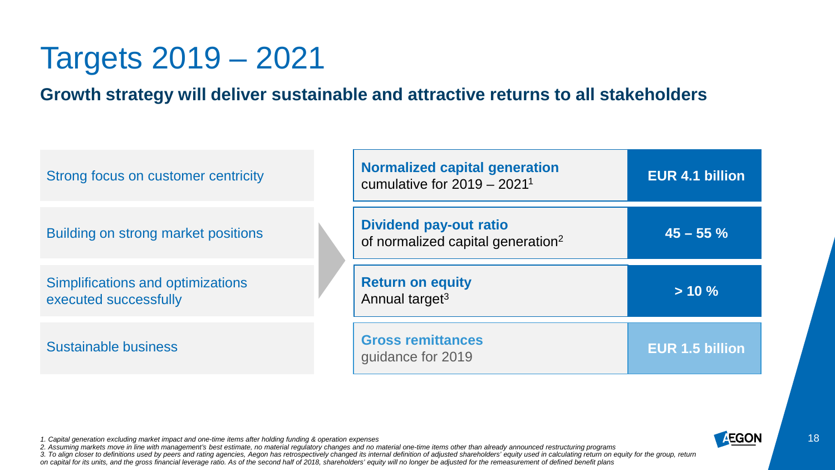## Targets 2019 – 2021

**Growth strategy will deliver sustainable and attractive returns to all stakeholders**

| Strong focus on customer centricity                        | <b>Normalized capital generation</b><br>cumulative for $2019 - 2021$ <sup>1</sup> | <b>EUR 4.1 billion</b> |
|------------------------------------------------------------|-----------------------------------------------------------------------------------|------------------------|
| Building on strong market positions                        | <b>Dividend pay-out ratio</b><br>of normalized capital generation <sup>2</sup>    | $45 - 55 \%$           |
| Simplifications and optimizations<br>executed successfully | <b>Return on equity</b><br>Annual target <sup>3</sup>                             | $> 10 \%$              |
| <b>Sustainable business</b>                                | <b>Gross remittances</b><br>guidance for 2019                                     | <b>EUR 1.5 billion</b> |

*1. Capital generation excluding market impact and one-time items after holding funding & operation expenses*

*2. Assuming markets move in line with management's best estimate, no material regulatory changes and no material one-time items other than already announced restructuring programs*

3. To align closer to definitions used by peers and rating agencies, Aegon has retrospectively changed its internal definition of adjusted shareholders' equity used in calculating return on equity for the group, return

*on capital for its units, and the gross financial leverage ratio. As of the second half of 2018, shareholders' equity will no longer be adjusted for the remeasurement of defined benefit plans*

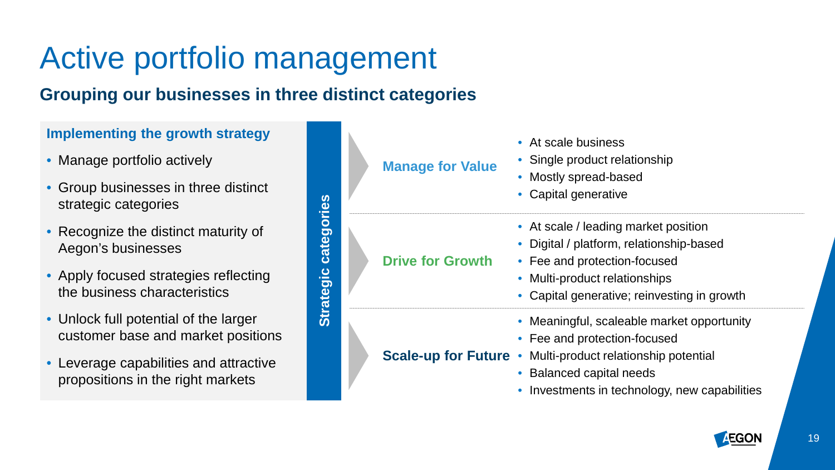# Active portfolio management

### **Grouping our businesses in three distinct categories**

#### **Implementing the growth strategy**

- Manage portfolio actively
- Group businesses in three distinct strategic categories
- Recognize the distinct maturity of Aegon's businesses
- Apply focused strategies reflecting the business characteristics
- Unlock full potential of the larger customer base and market positions
- Leverage capabilities and attractive propositions in the right markets

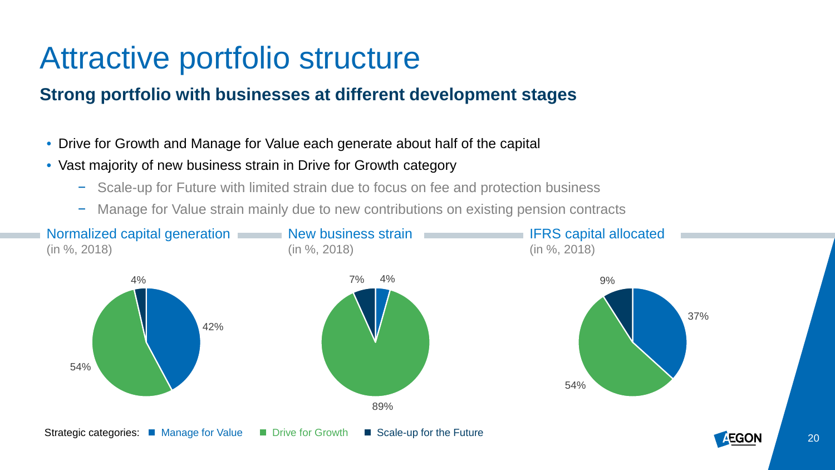## Attractive portfolio structure

### **Strong portfolio with businesses at different development stages**

- Drive for Growth and Manage for Value each generate about half of the capital
- Vast majority of new business strain in Drive for Growth category
	- − Scale-up for Future with limited strain due to focus on fee and protection business
	- Manage for Value strain mainly due to new contributions on existing pension contracts

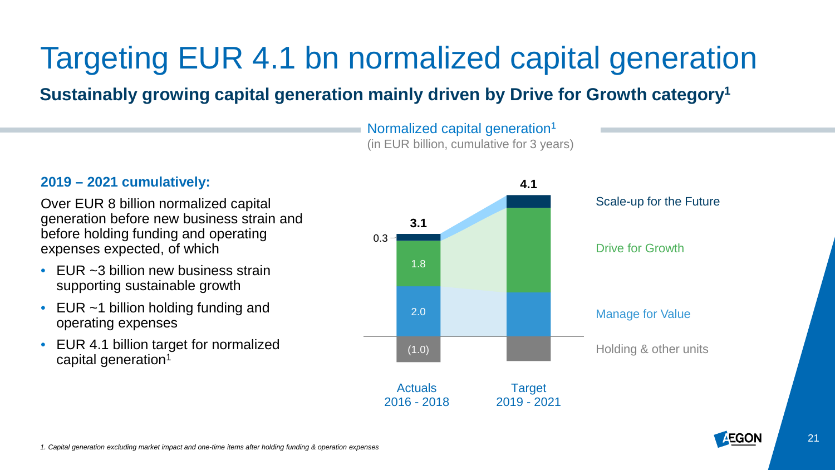# Targeting EUR 4.1 bn normalized capital generation

### **Sustainably growing capital generation mainly driven by Drive for Growth category1**

Normalized capital generation<sup>1</sup> (in EUR billion, cumulative for 3 years)

#### **2019 – 2021 cumulatively:**

Over EUR 8 billion normalized capital generation before new business strain and before holding funding and operating expenses expected, of which

- EUR  $\sim$ 3 billion new business strain supporting sustainable growth
- EUR ~1 billion holding funding and operating expenses
- EUR 4.1 billion target for normalized capital generation1



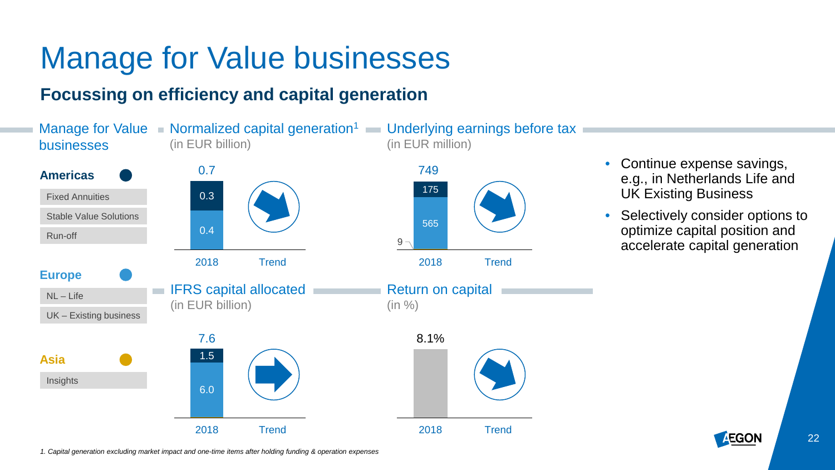# Manage for Value businesses

### **Focussing on efficiency and capital generation**



*1. Capital generation excluding market impact and one-time items after holding funding & operation expenses*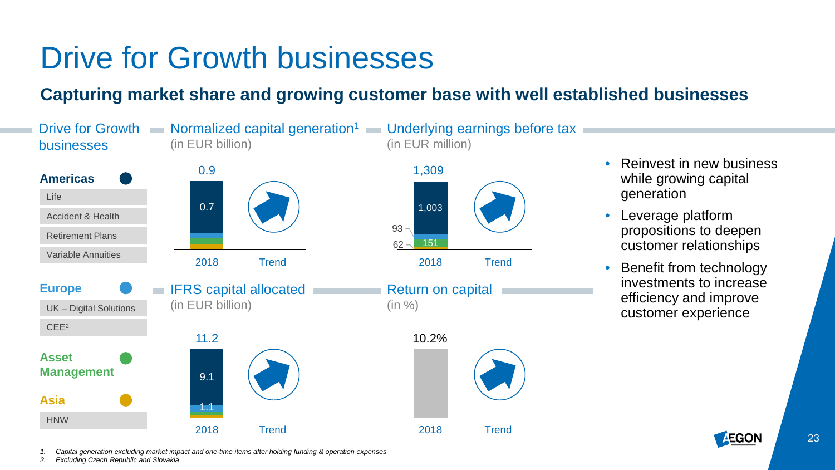# Drive for Growth businesses

### **Capturing market share and growing customer base with well established businesses**



*1. Capital generation excluding market impact and one-time items after holding funding & operation expenses*

*2. Excluding Czech Republic and Slovakia*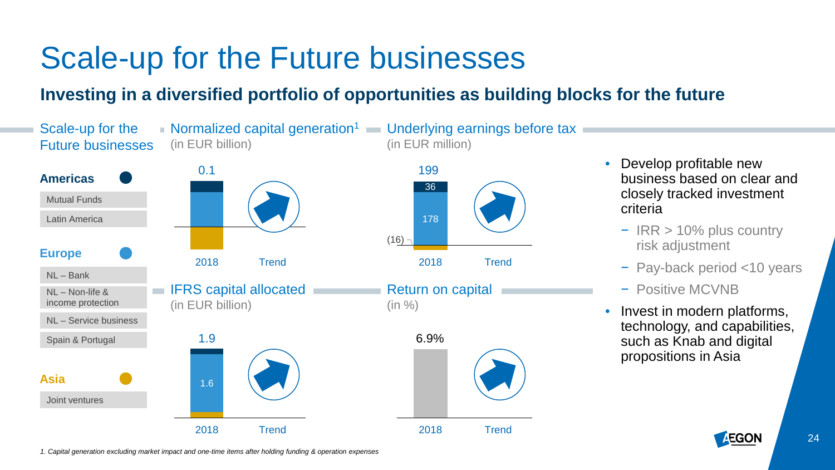# Scale-up for the Future businesses

### **Investing in a diversified portfolio of opportunities as building blocks for the future**



*1. Capital generation excluding market impact and one-time items after holding funding & operation expenses*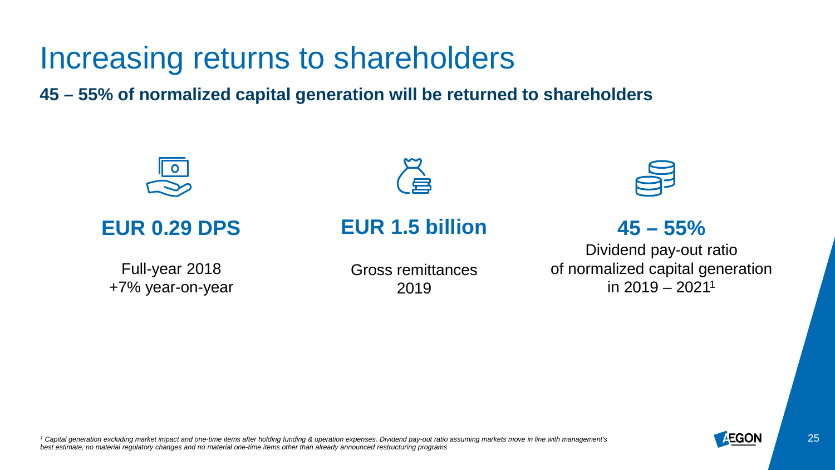## Increasing returns to shareholders

**45 – 55% of normalized capital generation will be returned to shareholders**



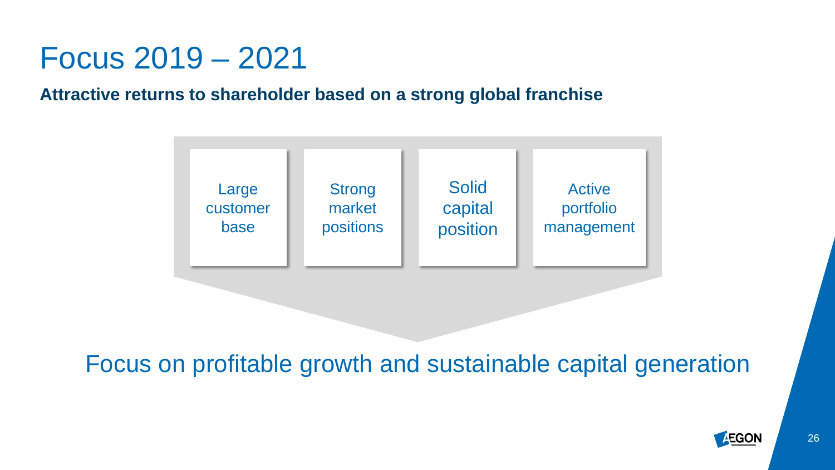## Focus 2019 – 2021

### **Attractive returns to shareholder based on a strong global franchise**



### Focus on profitable growth and sustainable capital generation

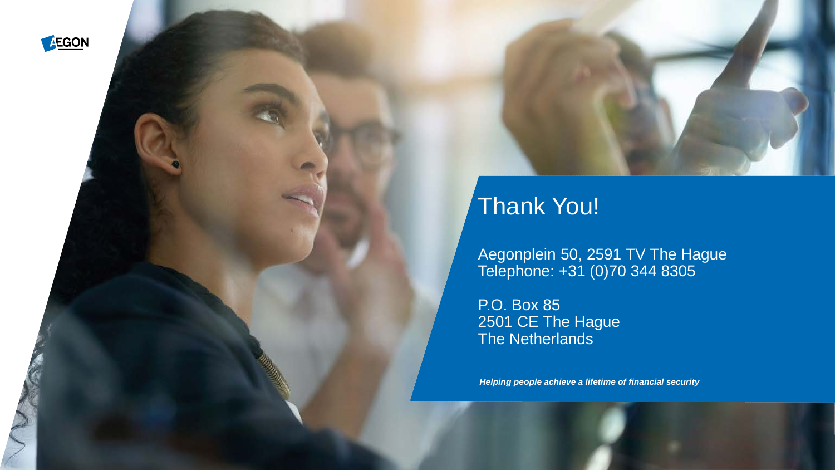

## Thank You!

Aegonplein 50, 2591 TV The Hague Telephone: +31 (0)70 344 8305

P.O. Box 85 2501 CE The Hague The Netherlands

*Helping people achieve a lifetime of financial security*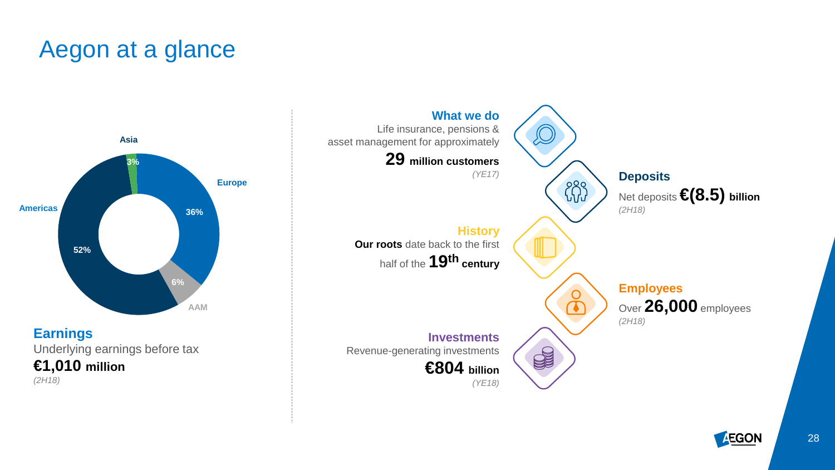### Aegon at a glance



**Earnings** Underlying earnings before tax **€1,010 million** *(2H18)*



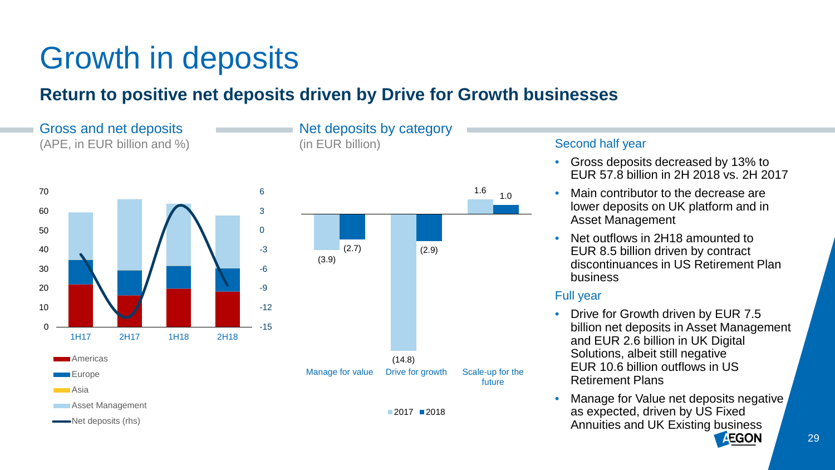# Growth in deposits

### **Return to positive net deposits driven by Drive for Growth businesses**



- Gross deposits decreased by 13% to EUR 57.8 billion in 2H 2018 vs. 2H 2017
- Main contributor to the decrease are lower deposits on UK platform and in Asset Management
- Net outflows in 2H18 amounted to EUR 8.5 billion driven by contract discontinuances in US Retirement Plan business

#### Full year

- **Drive for Growth driven by EUR 7.5** billion net deposits in Asset Management and EUR 2.6 billion in UK Digital Solutions, albeit still negative EUR 10.6 billion outflows in US Retirement Plans
- Manage for Value net deposits negative as expected, driven by US Fixed Annuities and UK Existing business

EGON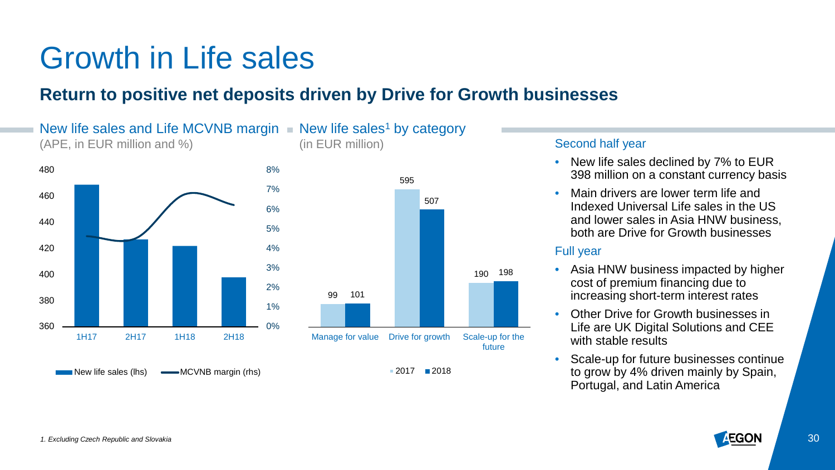# Growth in Life sales

### **Return to positive net deposits driven by Drive for Growth businesses**

(in EUR million)

New life sales and Life MCVNB margin  $\blacksquare$  New life sales<sup>1</sup> by category (APE, in EUR million and %) (in EUR million) Second half year



- New life sales declined by 7% to EUR 398 million on a constant currency basis
- Main drivers are lower term life and Indexed Universal Life sales in the US and lower sales in Asia HNW business, both are Drive for Growth businesses

#### Full year

- Asia HNW business impacted by higher cost of premium financing due to increasing short-term interest rates
- Other Drive for Growth businesses in Life are UK Digital Solutions and CEE with stable results
- Scale-up for future businesses continue to grow by 4% driven mainly by Spain, Portugal, and Latin America

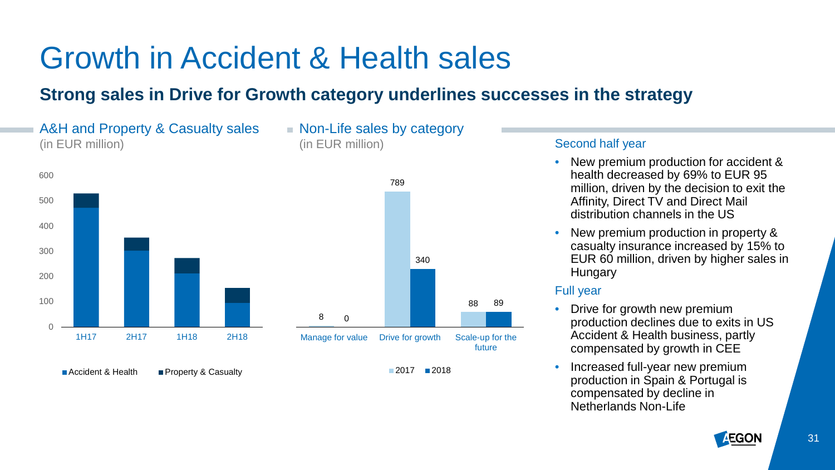# Growth in Accident & Health sales

### **Strong sales in Drive for Growth category underlines successes in the strategy**

A&H and Property & Casualty sales (in EUR million)

■ Non-Life sales by category (in EUR million)



#### Second half year

- New premium production for accident & health decreased by 69% to EUR 95 million, driven by the decision to exit the Affinity, Direct TV and Direct Mail distribution channels in the US
- New premium production in property & casualty insurance increased by 15% to EUR 60 million, driven by higher sales in Hungary

#### Full year

- Drive for growth new premium production declines due to exits in US Accident & Health business, partly compensated by growth in CEE
- Increased full-year new premium production in Spain & Portugal is compensated by decline in Netherlands Non-Life

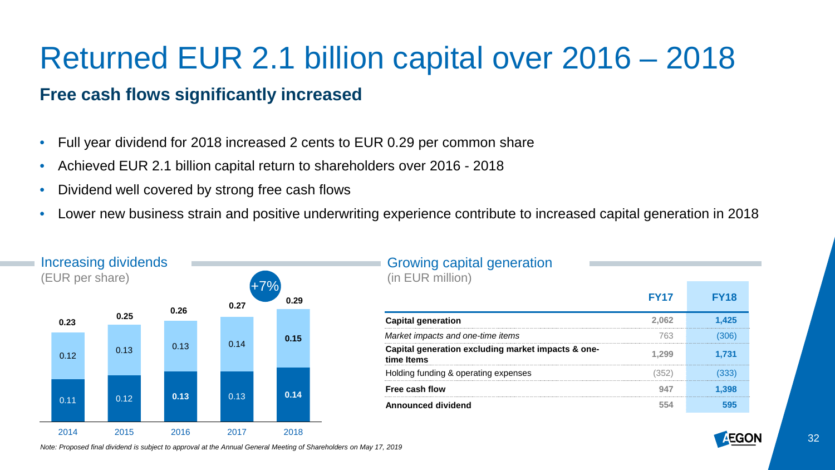# Returned EUR 2.1 billion capital over 2016 – 2018

### **Free cash flows significantly increased**

- Full year dividend for 2018 increased 2 cents to EUR 0.29 per common share
- Achieved EUR 2.1 billion capital return to shareholders over 2016 2018
- Dividend well covered by strong free cash flows
- Lower new business strain and positive underwriting experience contribute to increased capital generation in 2018



#### Growing capital generation (in EUR million)

|                                                                  | <b>FY17</b> |  |
|------------------------------------------------------------------|-------------|--|
| <b>Capital generation</b>                                        | 2.062       |  |
| Market impacts and one-time items                                | 763         |  |
| Capital generation excluding market impacts & one-<br>time Items |             |  |
| Holding funding & operating expenses                             |             |  |
| Free cash flow                                                   |             |  |
| Announced dividend                                               |             |  |



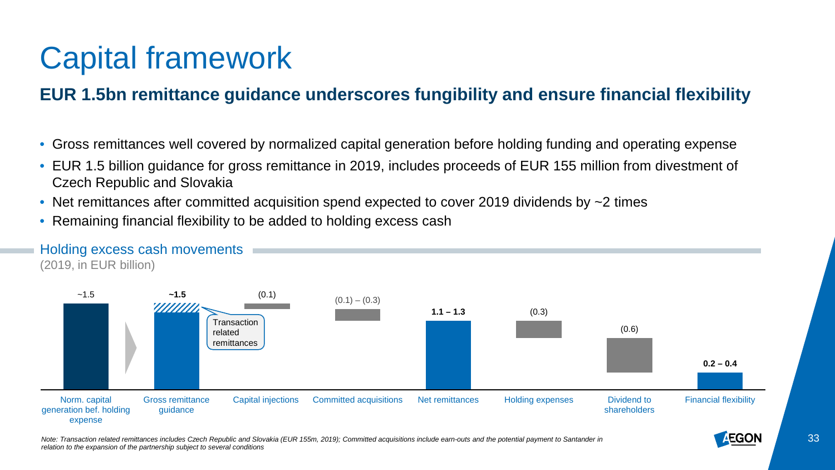# Capital framework

### **EUR 1.5bn remittance guidance underscores fungibility and ensure financial flexibility**

- Gross remittances well covered by normalized capital generation before holding funding and operating expense
- EUR 1.5 billion guidance for gross remittance in 2019, includes proceeds of EUR 155 million from divestment of Czech Republic and Slovakia
- Net remittances after committed acquisition spend expected to cover 2019 dividends by ~2 times
- Remaining financial flexibility to be added to holding excess cash



*Note: Transaction related remittances includes Czech Republic and Slovakia (EUR 155m, 2019); Committed acquisitions include earn-outs and the potential payment to Santander in relation to the expansion of the partnership subject to several conditions*

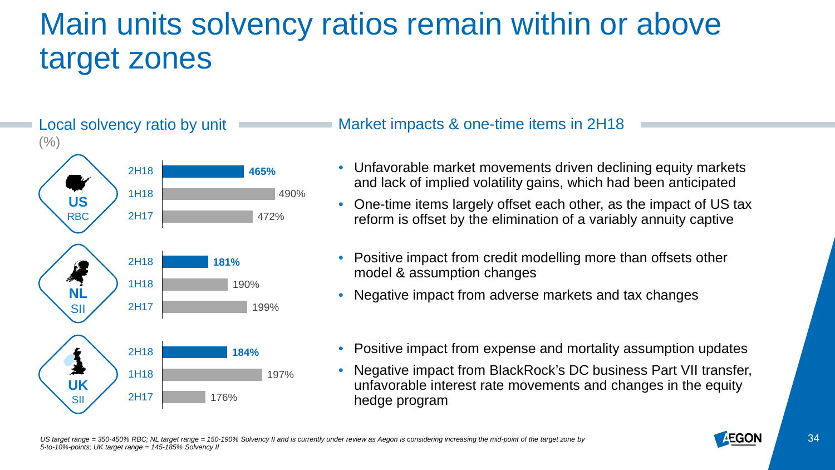# Main units solvency ratios remain within or above target zones



#### Market impacts & one-time items in 2H18

- Unfavorable market movements driven declining equity markets and lack of implied volatility gains, which had been anticipated
- One-time items largely offset each other, as the impact of US tax reform is offset by the elimination of a variably annuity captive
- Positive impact from credit modelling more than offsets other model & assumption changes
- Negative impact from adverse markets and tax changes
- Positive impact from expense and mortality assumption updates
- Negative impact from BlackRock's DC business Part VII transfer, unfavorable interest rate movements and changes in the equity hedge program

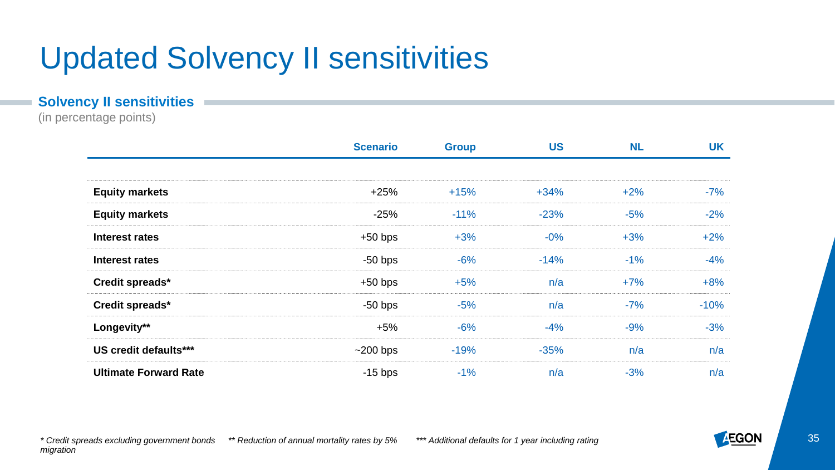# Updated Solvency II sensitivities

#### **Solvency II sensitivities**

(in percentage points)

|                              | <b>Scenario</b> | <b>Group</b> | <b>US</b> | <b>NL</b> | <b>UK</b> |
|------------------------------|-----------------|--------------|-----------|-----------|-----------|
|                              |                 |              |           |           |           |
| <b>Equity markets</b>        | $+25%$          | $+15%$       | $+34%$    | $+2%$     | $-7%$     |
| <b>Equity markets</b>        | $-25%$          | $-11%$       | $-23%$    | $-5%$     | $-2%$     |
| Interest rates               | $+50$ bps       | $+3%$        | $-0\%$    | $+3%$     | $+2%$     |
| Interest rates               | $-50$ bps       | $-6%$        | $-14%$    | $-1%$     | $-4%$     |
| Credit spreads*              | $+50$ bps       | $+5%$        | n/a       | $+7%$     | $+8%$     |
| Credit spreads*              | $-50$ bps       | $-5%$        | n/a       | $-7%$     | $-10%$    |
| Longevity**                  | $+5%$           | $-6%$        | $-4%$     | $-9%$     | $-3%$     |
| US credit defaults***        | $~200$ bps      | $-19%$       | $-35%$    | n/a       | n/a       |
| <b>Ultimate Forward Rate</b> | $-15$ bps       | $-1%$        | n/a       | $-3%$     | n/a       |

*\* Credit spreads excluding government bonds \*\* Reduction of annual mortality rates by 5% \*\*\* Additional defaults for 1 year including rating migration*

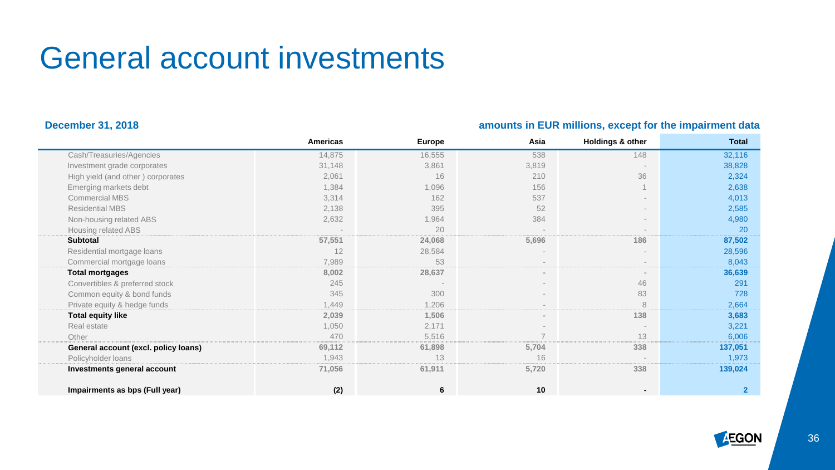# General account investments

#### **December 31, 2018 amounts in EUR millions, except for the impairment data**

|                                      | <b>Americas</b> | <b>Europe</b> | Asia                     | <b>Holdings &amp; other</b> | <b>Total</b>   |
|--------------------------------------|-----------------|---------------|--------------------------|-----------------------------|----------------|
| Cash/Treasuries/Agencies             | 14,875          | 16,555        | 538                      | 148                         | 32,116         |
| Investment grade corporates          | 31,148          | 3,861         | 3,819                    |                             | 38,828         |
| High yield (and other) corporates    | 2,061           | 16            | 210                      | 36                          | 2,324          |
| Emerging markets debt                | 1,384           | 1,096         | 156                      |                             | 2,638          |
| <b>Commercial MBS</b>                | 3,314           | 162           | 537                      |                             | 4,013          |
| <b>Residential MBS</b>               | 2,138           | 395           | 52                       |                             | 2,585          |
| Non-housing related ABS              | 2,632           | 1,964         | 384                      |                             | 4,980          |
| Housing related ABS                  |                 | 20            |                          |                             | 20             |
| <b>Subtotal</b>                      | 57,551          | 24,068        | 5,696                    | 186                         | 87,502         |
| Residential mortgage loans           | 12              | 28,584        |                          |                             | 28,596         |
| Commercial mortgage loans            | 7,989           | 53            | $\overline{\phantom{a}}$ |                             | 8,043          |
| <b>Total mortgages</b>               | 8,002           | 28,637        | $\sim$                   |                             | 36,639         |
| Convertibles & preferred stock       | 245             |               | $\overline{\phantom{a}}$ | 46                          | 291            |
| Common equity & bond funds           | 345             | 300           | $\sim$                   | 83                          | 728            |
| Private equity & hedge funds         | 1,449           | 1,206         | $\overline{\phantom{a}}$ | 8                           | 2,664          |
| <b>Total equity like</b>             | 2,039           | 1,506         | $\sim$                   | 138                         | 3,683          |
| Real estate                          | 1,050           | 2,171         | $\overline{\phantom{a}}$ |                             | 3,221          |
| Other                                | 470             | 5,516         | $\overline{7}$           | 13                          | 6,006          |
| General account (excl. policy loans) | 69,112          | 61,898        | 5,704                    | 338                         | 137,051        |
| Policyholder loans                   | 1,943           | 13            | 16                       |                             | 1,973          |
| Investments general account          | 71,056          | 61,911        | 5,720                    | 338                         | 139,024        |
| Impairments as bps (Full year)       | (2)             | 6             | 10                       |                             | $\overline{2}$ |

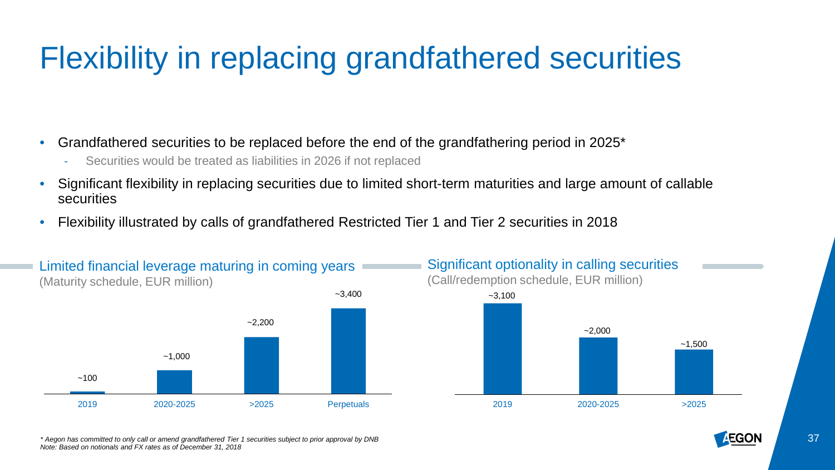# Flexibility in replacing grandfathered securities

- Grandfathered securities to be replaced before the end of the grandfathering period in 2025<sup>\*</sup>
	- Securities would be treated as liabilities in 2026 if not replaced
- Significant flexibility in replacing securities due to limited short-term maturities and large amount of callable securities
- Flexibility illustrated by calls of grandfathered Restricted Tier 1 and Tier 2 securities in 2018



Limited financial leverage maturing in coming years

(Maturity schedule, EUR million)



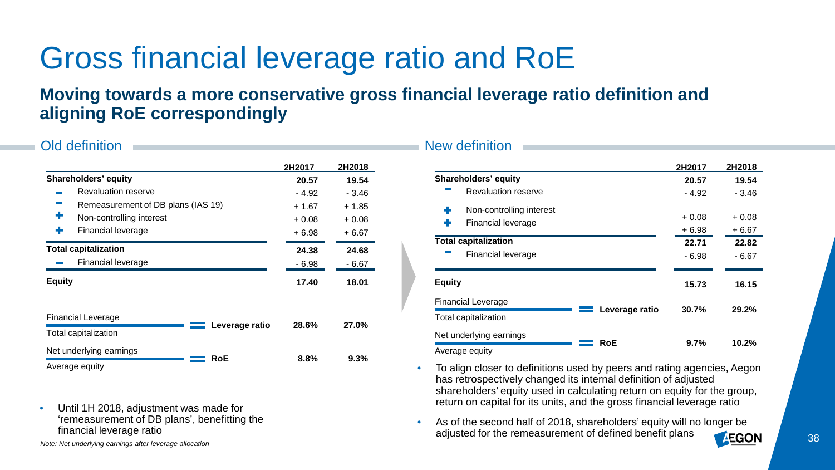# Gross financial leverage ratio and RoE

### **Moving towards a more conservative gross financial leverage ratio definition and aligning RoE correspondingly**

|                                        | 2H2017  | 2H2018  |
|----------------------------------------|---------|---------|
| <b>Shareholders' equity</b>            | 20.57   | 19.54   |
| <b>Revaluation reserve</b>             | - 4.92  | $-3.46$ |
| Remeasurement of DB plans (IAS 19)     | $+1.67$ | $+1.85$ |
| ٠<br>Non-controlling interest          | $+0.08$ | $+0.08$ |
| ٠<br><b>Financial leverage</b>         | $+6.98$ | $+6.67$ |
| <b>Total capitalization</b>            | 24.38   | 24.68   |
| <b>Financial leverage</b>              | - 6.98  | - 6.67  |
| <b>Equity</b>                          | 17.40   | 18.01   |
| <b>Financial Leverage</b>              | 28.6%   | 27.0%   |
| Leverage ratio<br>Total capitalization |         |         |
| Net underlying earnings<br><b>RoE</b>  | 8.8%    | 9.3%    |
| Average equity                         |         |         |

• Until 1H 2018, adjustment was made for 'remeasurement of DB plans', benefitting the financial leverage ratio

*Note: Net underlying earnings after leverage allocation*

#### Old definition New definition

|                                                                 | 2H2017           | 2H2018            |
|-----------------------------------------------------------------|------------------|-------------------|
| <b>Shareholders' equity</b>                                     | 20.57            | 19.54             |
| Revaluation reserve                                             | - 4.92           | $-3.46$           |
| Non-controlling interest<br>÷<br>÷<br><b>Financial leverage</b> | + 0.08<br>+ 6.98 | $+0.08$<br>+ 6.67 |
| <b>Total capitalization</b>                                     | 22.71            | 22.82             |
| <b>Financial leverage</b>                                       | - 6.98           | - 6.67            |
| <b>Equity</b>                                                   | 15.73            | 16.15             |
| <b>Financial Leverage</b>                                       |                  |                   |
| Leverage ratio<br>Total capitalization                          | 30.7%            | 29.2%             |
| Net underlying earnings                                         |                  |                   |
| RoE<br>Average equity                                           | 9.7%             | 10.2%             |

• To align closer to definitions used by peers and rating agencies, Aegon has retrospectively changed its internal definition of adjusted shareholders' equity used in calculating return on equity for the group, return on capital for its units, and the gross financial leverage ratio

• As of the second half of 2018, shareholders' equity will no longer be adjusted for the remeasurement of defined benefit plans

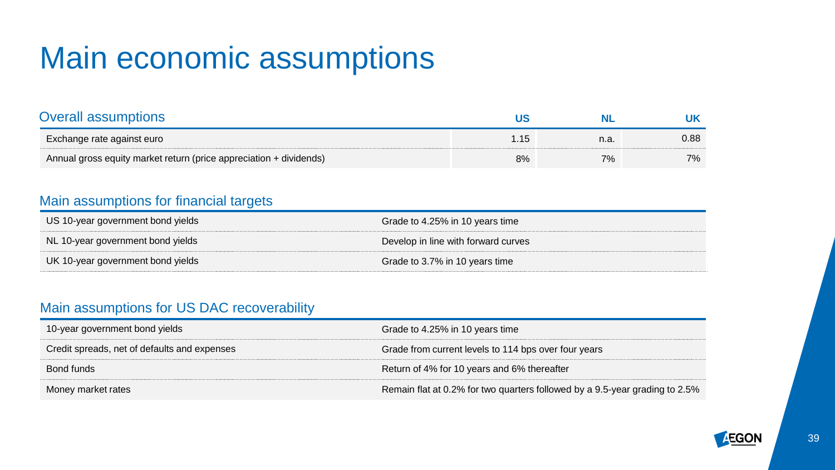# Main economic assumptions

| <b>Overall assumptions</b>                                         |    |      |      |
|--------------------------------------------------------------------|----|------|------|
| Exchange rate against euro                                         |    | n.a. | 0.88 |
| Annual gross equity market return (price appreciation + dividends) | 8% | 7%   | 7%   |

#### Main assumptions for financial targets

| US 10-year government bond yields | Grade to 4.25% in 10 years time     |
|-----------------------------------|-------------------------------------|
| NL 10-year government bond yields | Develop in line with forward curves |
| UK 10-year government bond yields | Grade to 3.7% in 10 years time      |

#### Main assumptions for US DAC recoverability

| 10-year government bond yields               | Grade to 4.25% in 10 years time                                             |
|----------------------------------------------|-----------------------------------------------------------------------------|
| Credit spreads, net of defaults and expenses | Grade from current levels to 114 bps over four years                        |
| Bond funds                                   | Return of 4% for 10 years and 6% thereafter                                 |
| Money market rates                           | Remain flat at 0.2% for two quarters followed by a 9.5-year grading to 2.5% |

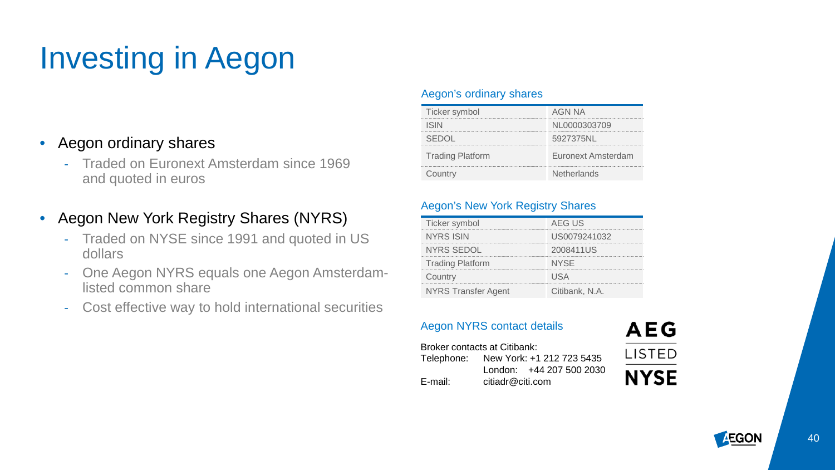# Investing in Aegon

#### • Aegon ordinary shares

- Traded on Euronext Amsterdam since 1969 and quoted in euros

### • Aegon New York Registry Shares (NYRS)

- Traded on NYSE since 1991 and quoted in US dollars
- One Aegon NYRS equals one Aegon Amsterdamlisted common share
- Cost effective way to hold international securities

#### Aegon's ordinary shares

| Ticker symbol           | AGN NA             |  |
|-------------------------|--------------------|--|
| <b>ISIN</b>             | NL0000303709       |  |
| <b>SEDOL</b>            | 5927375NL          |  |
| <b>Trading Platform</b> | Euronext Amsterdam |  |
| Country                 | Netherlands        |  |

#### Aegon's New York Registry Shares

| Ticker symbol              | AEG US         |
|----------------------------|----------------|
| <b>NYRS ISIN</b>           | US0079241032   |
| <b>NYRS SEDOL</b>          | 2008411US      |
| <b>Trading Platform</b>    | <b>NYSE</b>    |
| Country                    | USA            |
| <b>NYRS Transfer Agent</b> | Citibank, N.A. |

#### Aegon NYRS contact details

|         | Broker contacts at Citibank:         |               |
|---------|--------------------------------------|---------------|
|         | Telephone: New York: +1 212 723 5435 | <b>LISTED</b> |
|         | London: +44 207 500 2030             |               |
| E-mail: | citiadr@citi.com                     | <b>NYSE</b>   |